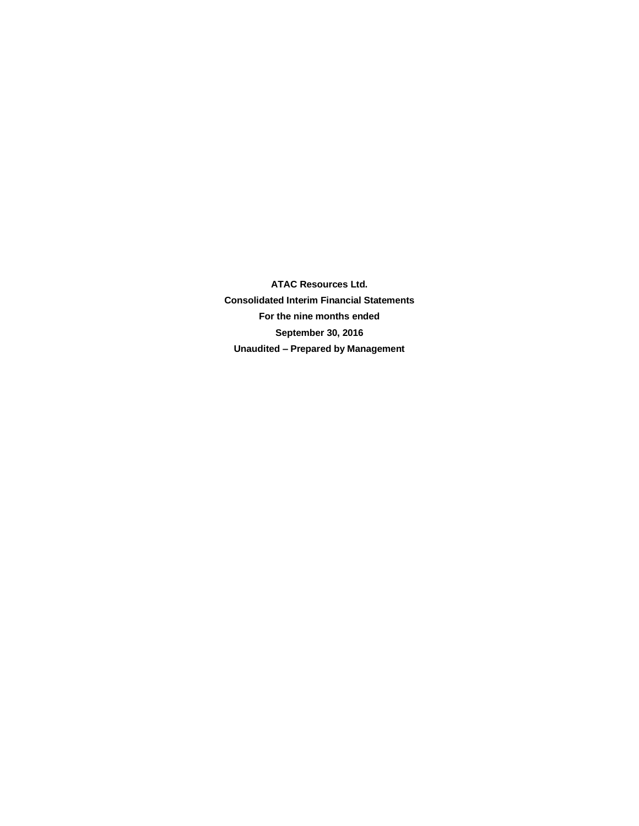**ATAC Resources Ltd. Consolidated Interim Financial Statements For the nine months ended September 30, 2016 Unaudited – Prepared by Management**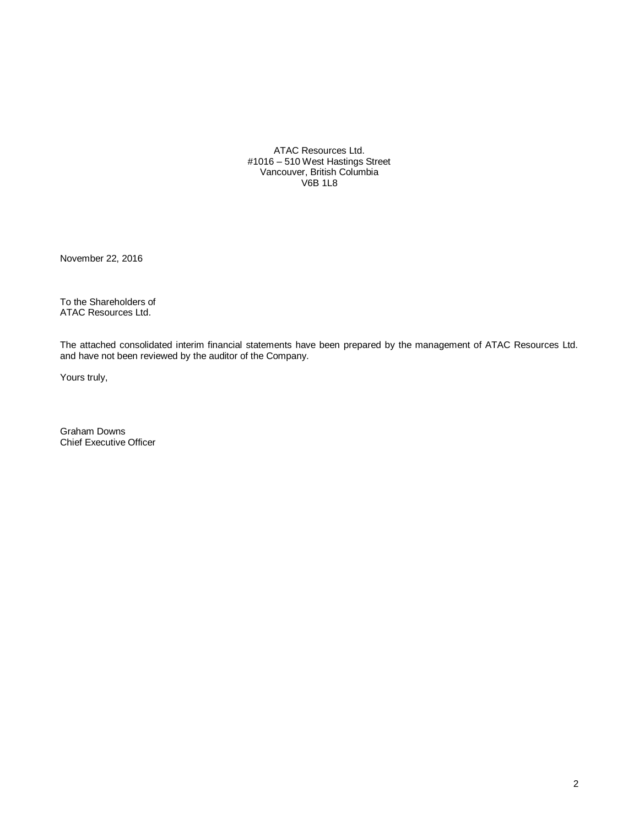ATAC Resources Ltd. #1016 – 510 West Hastings Street Vancouver, British Columbia V6B 1L8

November 22, 2016

To the Shareholders of ATAC Resources Ltd.

The attached consolidated interim financial statements have been prepared by the management of ATAC Resources Ltd. and have not been reviewed by the auditor of the Company.

Yours truly,

Graham Downs Chief Executive Officer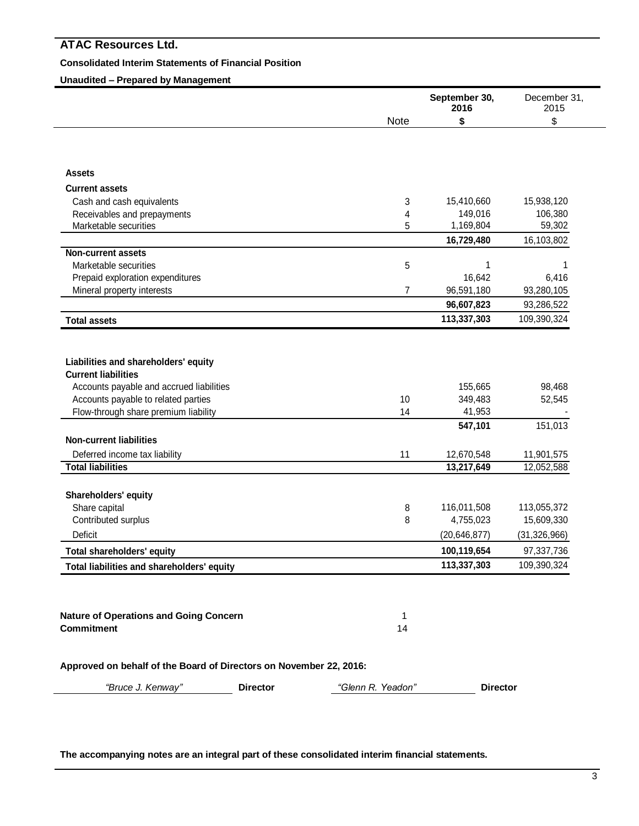# **Consolidated Interim Statements of Financial Position**

**Unaudited – Prepared by Management**

|                                                                    |                   | September 30,<br>2016 | December 31,<br>2015 |
|--------------------------------------------------------------------|-------------------|-----------------------|----------------------|
|                                                                    | Note              | \$                    | \$                   |
|                                                                    |                   |                       |                      |
| Assets                                                             |                   |                       |                      |
| <b>Current assets</b>                                              |                   |                       |                      |
| Cash and cash equivalents                                          | 3                 | 15,410,660            | 15,938,120           |
| Receivables and prepayments                                        | 4                 | 149,016               | 106,380              |
| Marketable securities                                              | 5                 | 1,169,804             | 59,302               |
|                                                                    |                   | 16,729,480            | 16,103,802           |
| <b>Non-current assets</b>                                          |                   |                       |                      |
| Marketable securities                                              | 5                 | 1                     | 1                    |
| Prepaid exploration expenditures                                   |                   | 16,642                | 6,416                |
| Mineral property interests                                         | 7                 | 96,591,180            | 93,280,105           |
|                                                                    |                   | 96,607,823            | 93,286,522           |
| <b>Total assets</b>                                                |                   | 113,337,303           | 109,390,324          |
|                                                                    |                   |                       |                      |
| Liabilities and shareholders' equity                               |                   |                       |                      |
| <b>Current liabilities</b>                                         |                   |                       |                      |
| Accounts payable and accrued liabilities                           |                   | 155,665               | 98,468               |
| Accounts payable to related parties                                | 10                | 349,483               | 52,545               |
| Flow-through share premium liability                               | 14                | 41,953                |                      |
|                                                                    |                   | 547,101               | 151,013              |
| <b>Non-current liabilities</b>                                     |                   |                       |                      |
| Deferred income tax liability                                      | 11                | 12,670,548            | 11,901,575           |
| <b>Total liabilities</b>                                           |                   | 13,217,649            | 12,052,588           |
| Shareholders' equity                                               |                   |                       |                      |
| Share capital                                                      | 8                 | 116,011,508           | 113,055,372          |
| Contributed surplus                                                | 8                 | 4,755,023             | 15,609,330           |
| Deficit                                                            |                   | (20, 646, 877)        | (31, 326, 966)       |
| <b>Total shareholders' equity</b>                                  |                   | 100,119,654           | 97,337,736           |
| Total liabilities and shareholders' equity                         |                   | 113,337,303           | 109,390,324          |
|                                                                    |                   |                       |                      |
| <b>Nature of Operations and Going Concern</b>                      | 1                 |                       |                      |
| <b>Commitment</b>                                                  | 14                |                       |                      |
| Approved on behalf of the Board of Directors on November 22, 2016: |                   |                       |                      |
| "Bruce J. Kenway"<br><b>Director</b>                               | "Glenn R. Yeadon" | <b>Director</b>       |                      |
|                                                                    |                   |                       |                      |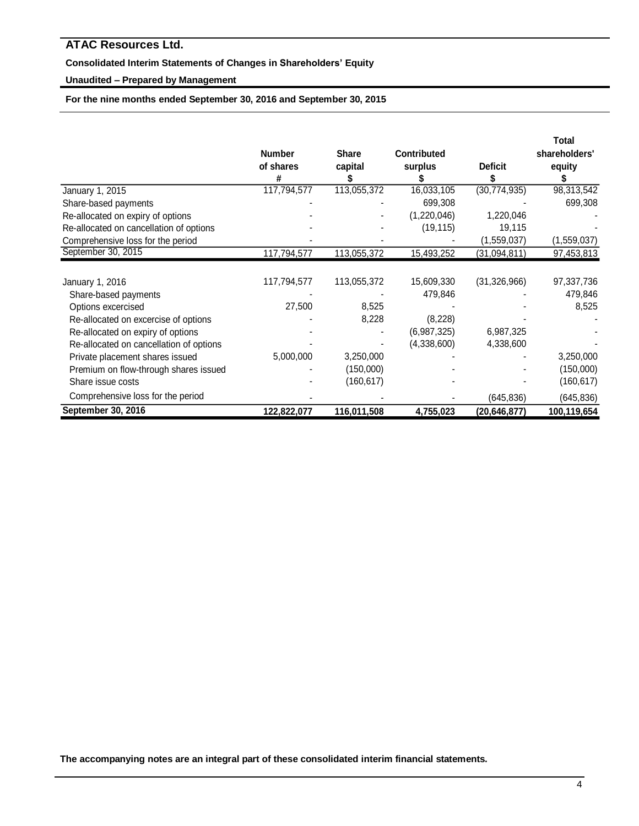# **Consolidated Interim Statements of Changes in Shareholders' Equity**

# **Unaudited – Prepared by Management**

**For the nine months ended September 30, 2016 and September 30, 2015**

|                                         | <b>Number</b> | <b>Share</b> | <b>Contributed</b> |                | Total<br>shareholders' |
|-----------------------------------------|---------------|--------------|--------------------|----------------|------------------------|
|                                         | of shares     | capital      | surplus            | <b>Deficit</b> | equity                 |
|                                         | #             |              |                    |                |                        |
| January 1, 2015                         | 117,794,577   | 113,055,372  | 16,033,105         | (30, 774, 935) | 98,313,542             |
| Share-based payments                    |               |              | 699,308            |                | 699,308                |
| Re-allocated on expiry of options       |               |              | (1,220,046)        | 1,220,046      |                        |
| Re-allocated on cancellation of options |               |              | (19, 115)          | 19,115         |                        |
| Comprehensive loss for the period       |               |              |                    | (1,559,037)    | (1,559,037)            |
| September 30, 2015                      | 117,794,577   | 113,055,372  | 15,493,252         | (31,094,811)   | 97,453,813             |
|                                         |               |              |                    |                |                        |
| January 1, 2016                         | 117,794,577   | 113,055,372  | 15,609,330         | (31, 326, 966) | 97,337,736             |
| Share-based payments                    |               |              | 479,846            |                | 479,846                |
| Options excercised                      | 27,500        | 8,525        |                    |                | 8,525                  |
| Re-allocated on excercise of options    |               | 8,228        | (8, 228)           |                |                        |
| Re-allocated on expiry of options       |               |              | (6,987,325)        | 6,987,325      |                        |
| Re-allocated on cancellation of options |               |              | (4,338,600)        | 4,338,600      |                        |
| Private placement shares issued         | 5,000,000     | 3,250,000    |                    |                | 3,250,000              |
| Premium on flow-through shares issued   |               | (150,000)    |                    |                | (150,000)              |
| Share issue costs                       |               | (160, 617)   |                    |                | (160, 617)             |
| Comprehensive loss for the period       |               |              |                    | (645, 836)     | (645, 836)             |
| September 30, 2016                      | 122,822,077   | 116,011,508  | 4,755,023          | (20,646,877)   | 100,119,654            |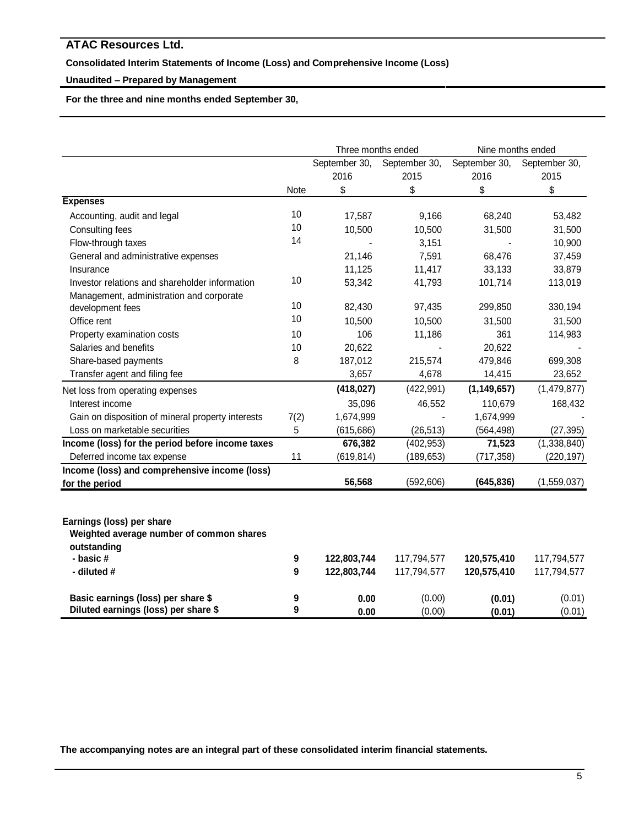# **Consolidated Interim Statements of Income (Loss) and Comprehensive Income (Loss)**

# **Unaudited – Prepared by Management**

**For the three and nine months ended September 30,** 

|                                                         |      | Three months ended |               | Nine months ended |               |
|---------------------------------------------------------|------|--------------------|---------------|-------------------|---------------|
|                                                         |      | September 30,      | September 30, | September 30,     | September 30, |
|                                                         |      | 2016               | 2015          | 2016              | 2015          |
|                                                         | Note | \$                 | \$            | \$                | \$            |
| <b>Expenses</b>                                         |      |                    |               |                   |               |
| Accounting, audit and legal                             | 10   | 17,587             | 9,166         | 68,240            | 53,482        |
| Consulting fees                                         | 10   | 10,500             | 10,500        | 31,500            | 31,500        |
| Flow-through taxes                                      | 14   |                    | 3,151         |                   | 10,900        |
| General and administrative expenses                     |      | 21,146             | 7,591         | 68,476            | 37,459        |
| Insurance                                               |      | 11,125             | 11,417        | 33,133            | 33,879        |
| Investor relations and shareholder information          | 10   | 53,342             | 41,793        | 101,714           | 113,019       |
| Management, administration and corporate                |      |                    |               |                   |               |
| development fees                                        | 10   | 82,430             | 97,435        | 299,850           | 330,194       |
| Office rent                                             | 10   | 10,500             | 10,500        | 31,500            | 31,500        |
| Property examination costs                              | 10   | 106                | 11,186        | 361               | 114,983       |
| Salaries and benefits                                   | 10   | 20,622             |               | 20,622            |               |
| Share-based payments                                    | 8    | 187,012            | 215,574       | 479,846           | 699,308       |
| Transfer agent and filing fee                           |      | 3,657              | 4,678         | 14,415            | 23,652        |
| Net loss from operating expenses                        |      | (418, 027)         | (422, 991)    | (1, 149, 657)     | (1,479,877)   |
| Interest income                                         |      | 35,096             | 46,552        | 110,679           | 168,432       |
| Gain on disposition of mineral property interests       | 7(2) | 1,674,999          |               | 1,674,999         |               |
| Loss on marketable securities                           | 5    | (615, 686)         | (26, 513)     | (564, 498)        | (27, 395)     |
| Income (loss) for the period before income taxes        |      | 676,382            | (402, 953)    | 71,523            | (1,338,840)   |
| Deferred income tax expense                             | 11   | (619, 814)         | (189, 653)    | (717, 358)        | (220, 197)    |
| Income (loss) and comprehensive income (loss)           |      |                    |               |                   |               |
| for the period                                          |      | 56,568             | (592, 606)    | (645, 836)        | (1,559,037)   |
| Earnings (loss) per share                               |      |                    |               |                   |               |
| Weighted average number of common shares<br>outstanding |      |                    |               |                   |               |
| - basic #                                               | 9    | 122,803,744        | 117,794,577   | 120,575,410       | 117,794,577   |
| - diluted #                                             | 9    | 122,803,744        | 117,794,577   | 120,575,410       | 117,794,577   |
| Basic earnings (loss) per share \$                      | 9    | 0.00               | (0.00)        | (0.01)            | (0.01)        |
| Diluted earnings (loss) per share \$                    | 9    | 0.00               | (0.00)        | (0.01)            | (0.01)        |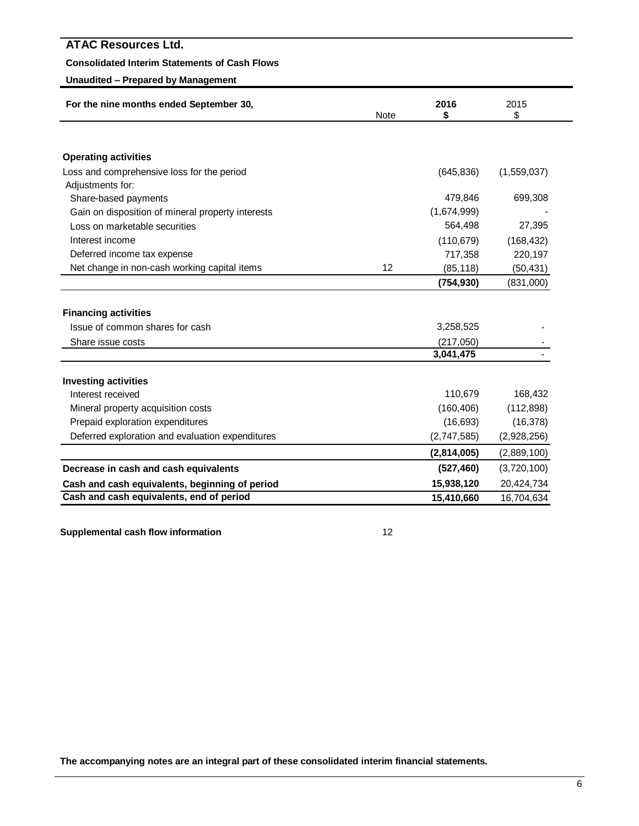# **Consolidated Interim Statements of Cash Flows**

# **Unaudited – Prepared by Management**

| 2016<br>For the nine months ended September 30,<br><b>Note</b><br>\$ |    |             | 2015<br>\$  |
|----------------------------------------------------------------------|----|-------------|-------------|
|                                                                      |    |             |             |
| <b>Operating activities</b>                                          |    |             |             |
| Loss and comprehensive loss for the period                           |    | (645, 836)  | (1,559,037) |
| Adjustments for:                                                     |    |             |             |
| Share-based payments                                                 |    | 479,846     | 699,308     |
| Gain on disposition of mineral property interests                    |    | (1,674,999) |             |
| Loss on marketable securities                                        |    | 564,498     | 27,395      |
| Interest income                                                      |    | (110, 679)  | (168, 432)  |
| Deferred income tax expense                                          |    | 717,358     | 220,197     |
| Net change in non-cash working capital items                         | 12 | (85, 118)   | (50, 431)   |
|                                                                      |    | (754, 930)  | (831,000)   |
| <b>Financing activities</b><br>Issue of common shares for cash       |    | 3,258,525   |             |
| Share issue costs                                                    |    | (217,050)   |             |
|                                                                      |    | 3,041,475   |             |
| <b>Investing activities</b>                                          |    |             |             |
| Interest received                                                    |    | 110,679     | 168,432     |
| Mineral property acquisition costs                                   |    | (160, 406)  | (112, 898)  |
| Prepaid exploration expenditures                                     |    | (16, 693)   | (16, 378)   |
| Deferred exploration and evaluation expenditures                     |    | (2,747,585) | (2,928,256) |
|                                                                      |    | (2,814,005) | (2,889,100) |
| Decrease in cash and cash equivalents                                |    | (527, 460)  | (3,720,100) |
| Cash and cash equivalents, beginning of period                       |    | 15,938,120  | 20,424,734  |
| Cash and cash equivalents, end of period                             |    | 15,410,660  | 16,704,634  |

**Supplemental cash flow information** 12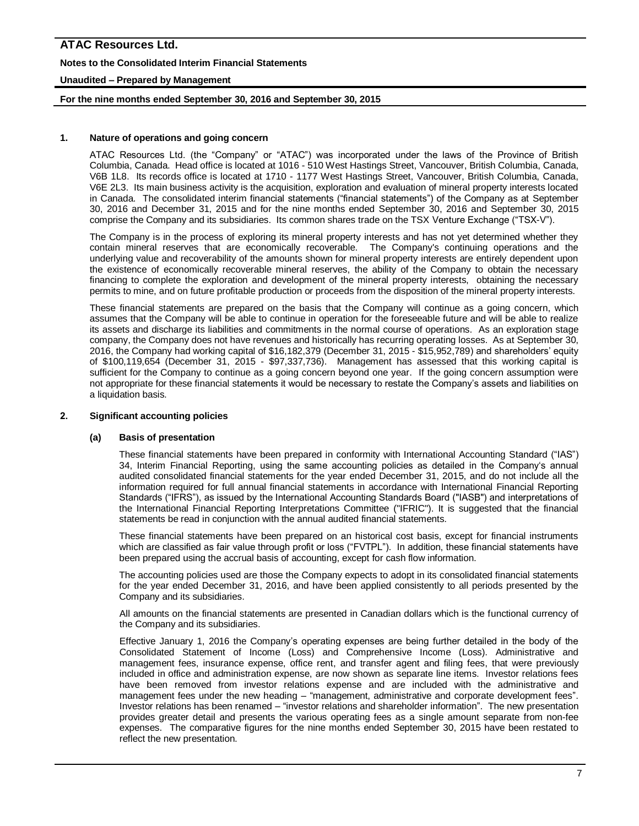## **Notes to the Consolidated Interim Financial Statements**

## **Unaudited – Prepared by Management**

### **For the nine months ended September 30, 2016 and September 30, 2015**

### **1. Nature of operations and going concern**

ATAC Resources Ltd. (the "Company" or "ATAC") was incorporated under the laws of the Province of British Columbia, Canada. Head office is located at 1016 - 510 West Hastings Street, Vancouver, British Columbia, Canada, V6B 1L8. Its records office is located at 1710 - 1177 West Hastings Street, Vancouver, British Columbia, Canada, V6E 2L3. Its main business activity is the acquisition, exploration and evaluation of mineral property interests located in Canada. The consolidated interim financial statements ("financial statements") of the Company as at September 30, 2016 and December 31, 2015 and for the nine months ended September 30, 2016 and September 30, 2015 comprise the Company and its subsidiaries. Its common shares trade on the TSX Venture Exchange ("TSX-V").

The Company is in the process of exploring its mineral property interests and has not yet determined whether they contain mineral reserves that are economically recoverable. The Company's continuing operations and the underlying value and recoverability of the amounts shown for mineral property interests are entirely dependent upon the existence of economically recoverable mineral reserves, the ability of the Company to obtain the necessary financing to complete the exploration and development of the mineral property interests, obtaining the necessary permits to mine, and on future profitable production or proceeds from the disposition of the mineral property interests.

These financial statements are prepared on the basis that the Company will continue as a going concern, which assumes that the Company will be able to continue in operation for the foreseeable future and will be able to realize its assets and discharge its liabilities and commitments in the normal course of operations. As an exploration stage company, the Company does not have revenues and historically has recurring operating losses. As at September 30, 2016, the Company had working capital of \$16,182,379 (December 31, 2015 - \$15,952,789) and shareholders' equity of \$100,119,654 (December 31, 2015 - \$97,337,736). Management has assessed that this working capital is sufficient for the Company to continue as a going concern beyond one year. If the going concern assumption were not appropriate for these financial statements it would be necessary to restate the Company's assets and liabilities on a liquidation basis.

### **2. Significant accounting policies**

### **(a) Basis of presentation**

These financial statements have been prepared in conformity with International Accounting Standard ("IAS") 34, Interim Financial Reporting, using the same accounting policies as detailed in the Company's annual audited consolidated financial statements for the year ended December 31, 2015, and do not include all the information required for full annual financial statements in accordance with International Financial Reporting Standards ("IFRS"), as issued by the International Accounting Standards Board ("IASB") and interpretations of the International Financial Reporting Interpretations Committee ("IFRIC"). It is suggested that the financial statements be read in conjunction with the annual audited financial statements.

These financial statements have been prepared on an historical cost basis, except for financial instruments which are classified as fair value through profit or loss ("FVTPL"). In addition, these financial statements have been prepared using the accrual basis of accounting, except for cash flow information.

The accounting policies used are those the Company expects to adopt in its consolidated financial statements for the year ended December 31, 2016, and have been applied consistently to all periods presented by the Company and its subsidiaries.

All amounts on the financial statements are presented in Canadian dollars which is the functional currency of the Company and its subsidiaries.

Effective January 1, 2016 the Company's operating expenses are being further detailed in the body of the Consolidated Statement of Income (Loss) and Comprehensive Income (Loss). Administrative and management fees, insurance expense, office rent, and transfer agent and filing fees, that were previously included in office and administration expense, are now shown as separate line items. Investor relations fees have been removed from investor relations expense and are included with the administrative and management fees under the new heading – "management, administrative and corporate development fees". Investor relations has been renamed – "investor relations and shareholder information". The new presentation provides greater detail and presents the various operating fees as a single amount separate from non-fee expenses. The comparative figures for the nine months ended September 30, 2015 have been restated to reflect the new presentation.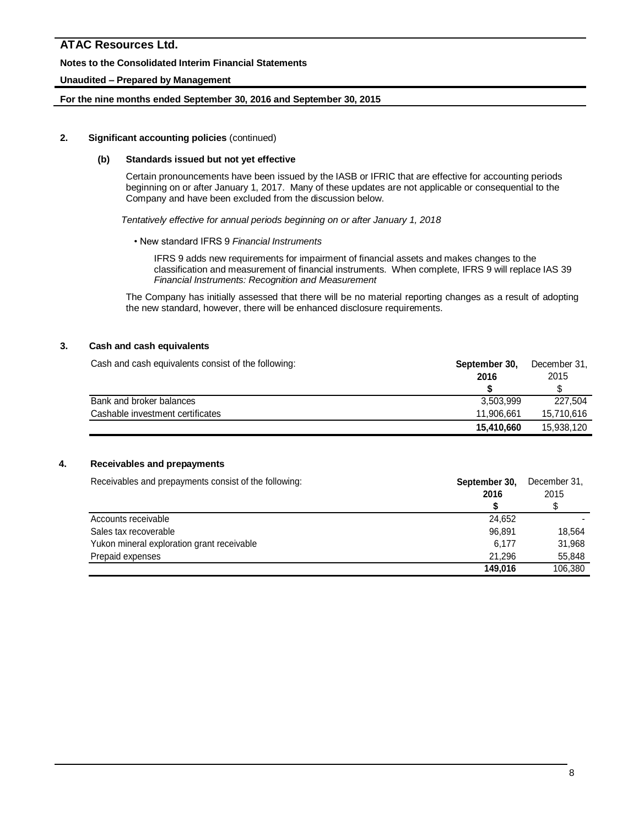# **Notes to the Consolidated Interim Financial Statements**

# **Unaudited – Prepared by Management**

# **For the nine months ended September 30, 2016 and September 30, 2015**

### **2. Significant accounting policies** (continued)

## **(b) Standards issued but not yet effective**

Certain pronouncements have been issued by the IASB or IFRIC that are effective for accounting periods beginning on or after January 1, 2017. Many of these updates are not applicable or consequential to the Company and have been excluded from the discussion below.

*Tentatively effective for annual periods beginning on or after January 1, 2018*

### • New standard IFRS 9 *Financial Instruments*

IFRS 9 adds new requirements for impairment of financial assets and makes changes to the classification and measurement of financial instruments. When complete, IFRS 9 will replace IAS 39 *Financial Instruments: Recognition and Measurement*

The Company has initially assessed that there will be no material reporting changes as a result of adopting the new standard, however, there will be enhanced disclosure requirements.

# **3. Cash and cash equivalents**

Cash and cash equivalents consist of the following: **September 30,** December 31,

|                                  |            | ------------<br>2015 |  |
|----------------------------------|------------|----------------------|--|
|                                  | 2016       |                      |  |
|                                  |            |                      |  |
| Bank and broker balances         | 3,503,999  | 227.504              |  |
| Cashable investment certificates | 11.906.661 | 15.710.616           |  |
|                                  | 15.410.660 | 15.938.120           |  |

# **4. Receivables and prepayments**

| Receivables and prepayments consist of the following: | September 30,<br>2016 | December 31,<br>2015 |  |
|-------------------------------------------------------|-----------------------|----------------------|--|
|                                                       |                       |                      |  |
| Accounts receivable                                   | 24.652                |                      |  |
| Sales tax recoverable                                 | 96.891                | 18.564               |  |
| Yukon mineral exploration grant receivable            | 6.177                 | 31,968               |  |
| Prepaid expenses                                      | 21.296                | 55,848               |  |
|                                                       | 149.016               | 106,380              |  |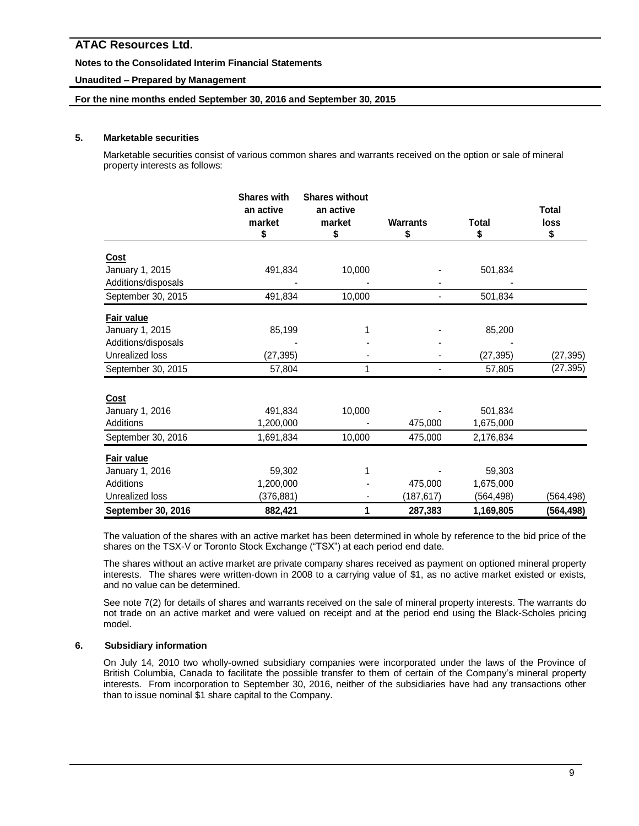# **Notes to the Consolidated Interim Financial Statements**

# **Unaudited – Prepared by Management**

## **For the nine months ended September 30, 2016 and September 30, 2015**

# **5. Marketable securities**

Marketable securities consist of various common shares and warrants received on the option or sale of mineral property interests as follows:

|                     | <b>Shares with</b><br>an active | <b>Shares without</b><br>an active |                 |              | <b>Total</b> |
|---------------------|---------------------------------|------------------------------------|-----------------|--------------|--------------|
|                     | market                          | market                             | <b>Warrants</b> | <b>Total</b> | loss         |
|                     | \$                              | \$                                 | \$              | \$           | \$           |
| Cost                |                                 |                                    |                 |              |              |
| January 1, 2015     | 491,834                         | 10,000                             |                 | 501,834      |              |
| Additions/disposals |                                 |                                    |                 |              |              |
| September 30, 2015  | 491,834                         | 10,000                             |                 | 501,834      |              |
| <b>Fair value</b>   |                                 |                                    |                 |              |              |
| January 1, 2015     | 85,199                          |                                    |                 | 85,200       |              |
| Additions/disposals |                                 |                                    |                 |              |              |
| Unrealized loss     | (27, 395)                       |                                    |                 | (27, 395)    | (27, 395)    |
| September 30, 2015  | 57,804                          | 1                                  |                 | 57,805       | (27, 395)    |
| <b>Cost</b>         |                                 |                                    |                 |              |              |
| January 1, 2016     | 491,834                         | 10,000                             |                 | 501,834      |              |
| Additions           | 1,200,000                       |                                    | 475,000         | 1,675,000    |              |
| September 30, 2016  | 1,691,834                       | 10,000                             | 475,000         | 2,176,834    |              |
| Fair value          |                                 |                                    |                 |              |              |
| January 1, 2016     | 59,302                          |                                    |                 | 59,303       |              |
| Additions           | 1,200,000                       |                                    | 475,000         | 1,675,000    |              |
| Unrealized loss     | (376, 881)                      |                                    | (187, 617)      | (564, 498)   | (564,498)    |
| September 30, 2016  | 882,421                         | 1                                  | 287,383         | 1,169,805    | (564,498)    |

The valuation of the shares with an active market has been determined in whole by reference to the bid price of the shares on the TSX-V or Toronto Stock Exchange ("TSX") at each period end date.

The shares without an active market are private company shares received as payment on optioned mineral property interests. The shares were written-down in 2008 to a carrying value of \$1, as no active market existed or exists, and no value can be determined.

See note 7(2) for details of shares and warrants received on the sale of mineral property interests. The warrants do not trade on an active market and were valued on receipt and at the period end using the Black-Scholes pricing model.

### **6. Subsidiary information**

On July 14, 2010 two wholly-owned subsidiary companies were incorporated under the laws of the Province of British Columbia, Canada to facilitate the possible transfer to them of certain of the Company's mineral property interests. From incorporation to September 30, 2016, neither of the subsidiaries have had any transactions other than to issue nominal \$1 share capital to the Company.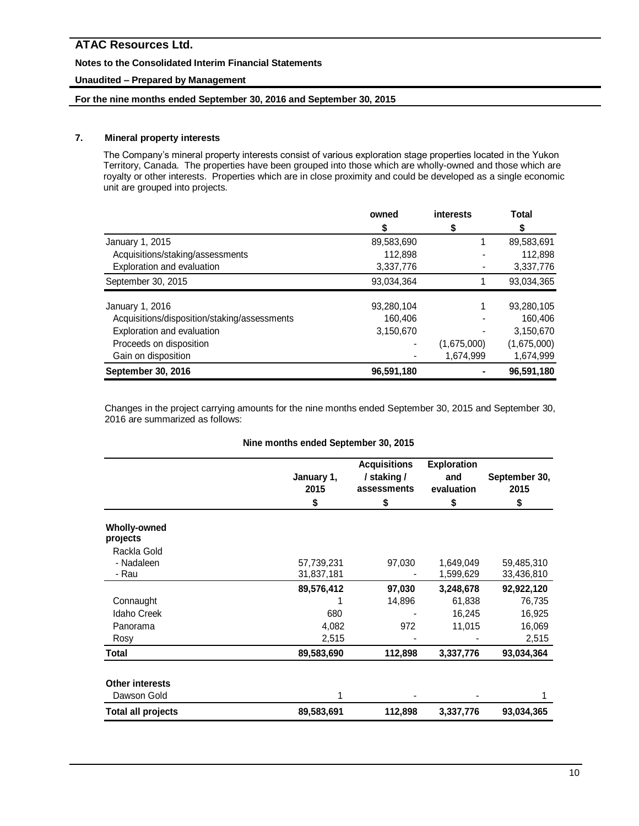# **Notes to the Consolidated Interim Financial Statements**

# **Unaudited – Prepared by Management**

# **For the nine months ended September 30, 2016 and September 30, 2015**

# **7. Mineral property interests**

The Company's mineral property interests consist of various exploration stage properties located in the Yukon Territory, Canada. The properties have been grouped into those which are wholly-owned and those which are royalty or other interests. Properties which are in close proximity and could be developed as a single economic unit are grouped into projects.

|                                              | owned      | interests   | <b>Total</b> |
|----------------------------------------------|------------|-------------|--------------|
|                                              | S          |             |              |
| January 1, 2015                              | 89,583,690 |             | 89,583,691   |
| Acquisitions/staking/assessments             | 112,898    |             | 112,898      |
| Exploration and evaluation                   | 3,337,776  |             | 3,337,776    |
| September 30, 2015                           | 93.034.364 |             | 93,034,365   |
| January 1, 2016                              | 93,280,104 |             | 93,280,105   |
| Acquisitions/disposition/staking/assessments | 160,406    |             | 160,406      |
| Exploration and evaluation                   | 3,150,670  |             | 3,150,670    |
| Proceeds on disposition                      |            | (1,675,000) | (1,675,000)  |
| Gain on disposition                          |            | 1,674,999   | 1,674,999    |
| September 30, 2016                           | 96,591,180 |             | 96,591,180   |

Changes in the project carrying amounts for the nine months ended September 30, 2015 and September 30, 2016 are summarized as follows:

|                                 | January 1,<br>2015 | <b>Acquisitions</b><br>/ staking /<br>assessments | <b>Exploration</b><br>and<br>evaluation | September 30,<br>2015 |
|---------------------------------|--------------------|---------------------------------------------------|-----------------------------------------|-----------------------|
|                                 | \$                 | \$                                                | \$                                      | \$                    |
| <b>Wholly-owned</b><br>projects |                    |                                                   |                                         |                       |
| Rackla Gold                     |                    |                                                   |                                         |                       |
| - Nadaleen                      | 57,739,231         | 97,030                                            | 1,649,049                               | 59,485,310            |
| - Rau                           | 31,837,181         |                                                   | 1,599,629                               | 33,436,810            |
|                                 | 89,576,412         | 97,030                                            | 3,248,678                               | 92,922,120            |
| Connaught                       |                    | 14,896                                            | 61,838                                  | 76,735                |
| <b>Idaho Creek</b>              | 680                |                                                   | 16,245                                  | 16,925                |
| Panorama                        | 4,082              | 972                                               | 11,015                                  | 16,069                |
| Rosy                            | 2,515              |                                                   |                                         | 2,515                 |
| Total                           | 89,583,690         | 112,898                                           | 3,337,776                               | 93,034,364            |
| <b>Other interests</b>          |                    |                                                   |                                         |                       |
| Dawson Gold                     |                    |                                                   |                                         |                       |
| <b>Total all projects</b>       | 89,583,691         | 112,898                                           | 3,337,776                               | 93,034,365            |

# **Nine months ended September 30, 2015**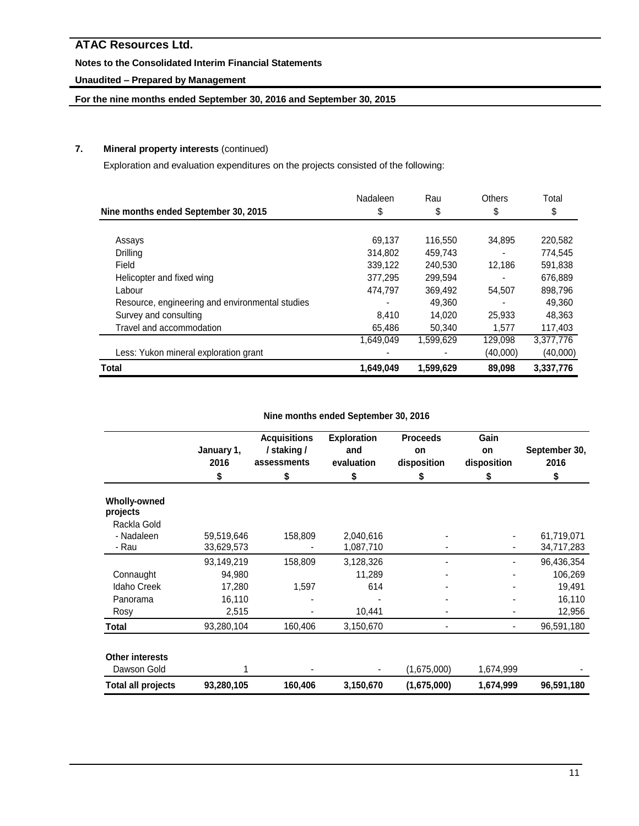# **Notes to the Consolidated Interim Financial Statements**

# **Unaudited – Prepared by Management**

# **For the nine months ended September 30, 2016 and September 30, 2015**

# **7. Mineral property interests** (continued)

Exploration and evaluation expenditures on the projects consisted of the following:

| Nine months ended September 30, 2015            | Nadaleen<br>\$ | Rau<br>\$ | <b>Others</b><br>\$ | Total<br>\$ |
|-------------------------------------------------|----------------|-----------|---------------------|-------------|
|                                                 |                |           |                     |             |
| Assays                                          | 69.137         | 116,550   | 34.895              | 220,582     |
| Drilling                                        | 314.802        | 459,743   |                     | 774.545     |
| Field                                           | 339,122        | 240.530   | 12.186              | 591,838     |
| Helicopter and fixed wing                       | 377,295        | 299,594   |                     | 676.889     |
| Labour                                          | 474,797        | 369,492   | 54,507              | 898,796     |
| Resource, engineering and environmental studies |                | 49.360    |                     | 49.360      |
| Survey and consulting                           | 8.410          | 14.020    | 25.933              | 48.363      |
| Travel and accommodation                        | 65,486         | 50.340    | 1.577               | 117,403     |
|                                                 | 1,649,049      | 1,599,629 | 129,098             | 3,377,776   |
| Less: Yukon mineral exploration grant           |                |           | (40,000)            | (40,000)    |
| <b>Total</b>                                    | 1,649,049      | 1,599,629 | 89,098              | 3,337,776   |

# **Nine months ended September 30, 2016**

|                                 | January 1,<br>2016<br>\$ | <b>Acquisitions</b><br>/ staking /<br>assessments<br>\$ | <b>Exploration</b><br>and<br>evaluation<br>\$ | <b>Proceeds</b><br>on<br>disposition<br>\$ | Gain<br>on<br>disposition<br>\$ | September 30,<br>2016<br>\$ |
|---------------------------------|--------------------------|---------------------------------------------------------|-----------------------------------------------|--------------------------------------------|---------------------------------|-----------------------------|
|                                 |                          |                                                         |                                               |                                            |                                 |                             |
| <b>Wholly-owned</b><br>projects |                          |                                                         |                                               |                                            |                                 |                             |
| Rackla Gold                     |                          |                                                         |                                               |                                            |                                 |                             |
| - Nadaleen                      | 59,519,646               | 158,809                                                 | 2,040,616                                     |                                            |                                 | 61,719,071                  |
| - Rau                           | 33,629,573               |                                                         | 1,087,710                                     |                                            |                                 | 34,717,283                  |
|                                 | 93,149,219               | 158,809                                                 | 3,128,326                                     |                                            |                                 | 96,436,354                  |
| Connaught                       | 94,980                   |                                                         | 11,289                                        |                                            |                                 | 106,269                     |
| <b>Idaho Creek</b>              | 17,280                   | 1,597                                                   | 614                                           |                                            |                                 | 19,491                      |
| Panorama                        | 16,110                   |                                                         |                                               |                                            |                                 | 16,110                      |
| Rosy                            | 2,515                    |                                                         | 10,441                                        |                                            |                                 | 12,956                      |
| Total                           | 93,280,104               | 160,406                                                 | 3,150,670                                     |                                            |                                 | 96,591,180                  |
| <b>Other interests</b>          |                          |                                                         |                                               |                                            |                                 |                             |
| Dawson Gold                     |                          |                                                         |                                               | (1,675,000)                                | 1,674,999                       |                             |
| <b>Total all projects</b>       | 93,280,105               | 160,406                                                 | 3,150,670                                     | (1,675,000)                                | 1,674,999                       | 96,591,180                  |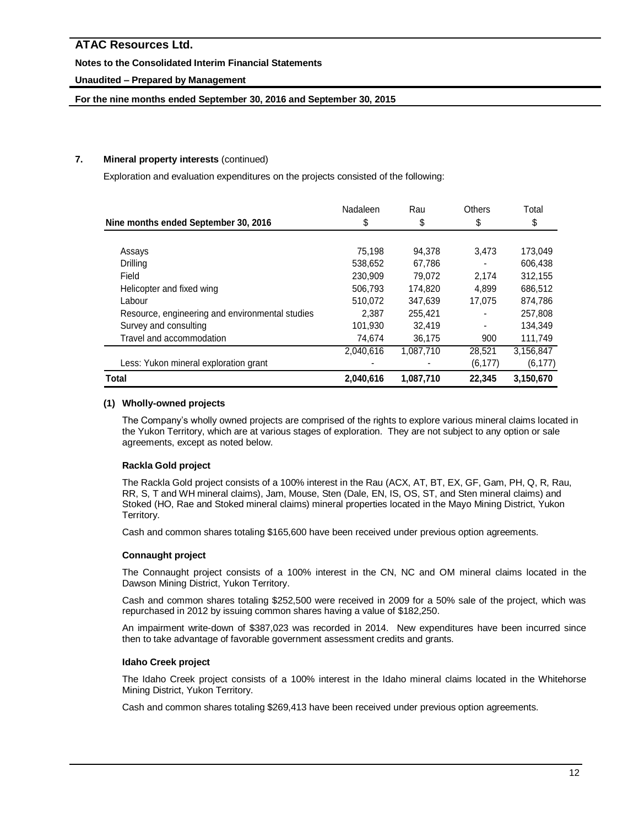# **Notes to the Consolidated Interim Financial Statements**

# **Unaudited – Prepared by Management**

# **For the nine months ended September 30, 2016 and September 30, 2015**

# **7. Mineral property interests** (continued)

Exploration and evaluation expenditures on the projects consisted of the following:

|                                                                                                                                                                                                                    | Nadaleen  | Rau       | <b>Others</b> | Total     |
|--------------------------------------------------------------------------------------------------------------------------------------------------------------------------------------------------------------------|-----------|-----------|---------------|-----------|
| Nine months ended September 30, 2016<br>Assays<br>Drilling<br>Field<br>Helicopter and fixed wing<br>Labour<br>Resource, engineering and environmental studies<br>Survey and consulting<br>Travel and accommodation | \$        | \$        | \$            | \$        |
|                                                                                                                                                                                                                    |           |           |               |           |
|                                                                                                                                                                                                                    | 75.198    | 94.378    | 3,473         | 173,049   |
|                                                                                                                                                                                                                    | 538.652   | 67.786    |               | 606.438   |
|                                                                                                                                                                                                                    | 230,909   | 79,072    | 2.174         | 312,155   |
|                                                                                                                                                                                                                    | 506.793   | 174,820   | 4.899         | 686,512   |
|                                                                                                                                                                                                                    | 510,072   | 347,639   | 17,075        | 874,786   |
|                                                                                                                                                                                                                    | 2.387     | 255,421   |               | 257.808   |
|                                                                                                                                                                                                                    | 101,930   | 32.419    |               | 134.349   |
|                                                                                                                                                                                                                    | 74,674    | 36,175    | 900           | 111,749   |
|                                                                                                                                                                                                                    | 2,040,616 | 1,087,710 | 28,521        | 3,156,847 |
| Less: Yukon mineral exploration grant                                                                                                                                                                              |           |           | (6, 177)      | (6, 177)  |
| <b>Total</b>                                                                                                                                                                                                       | 2,040,616 | 1,087,710 | 22.345        | 3,150,670 |

# **(1) Wholly-owned projects**

The Company's wholly owned projects are comprised of the rights to explore various mineral claims located in the Yukon Territory, which are at various stages of exploration. They are not subject to any option or sale agreements, except as noted below.

# **Rackla Gold project**

The Rackla Gold project consists of a 100% interest in the Rau (ACX, AT, BT, EX, GF, Gam, PH, Q, R, Rau, RR, S, T and WH mineral claims), Jam, Mouse, Sten (Dale, EN, IS, OS, ST, and Sten mineral claims) and Stoked (HO, Rae and Stoked mineral claims) mineral properties located in the Mayo Mining District, Yukon Territory.

Cash and common shares totaling \$165,600 have been received under previous option agreements.

# **Connaught project**

The Connaught project consists of a 100% interest in the CN, NC and OM mineral claims located in the Dawson Mining District, Yukon Territory.

Cash and common shares totaling \$252,500 were received in 2009 for a 50% sale of the project, which was repurchased in 2012 by issuing common shares having a value of \$182,250.

An impairment write-down of \$387,023 was recorded in 2014. New expenditures have been incurred since then to take advantage of favorable government assessment credits and grants.

# **Idaho Creek project**

The Idaho Creek project consists of a 100% interest in the Idaho mineral claims located in the Whitehorse Mining District, Yukon Territory.

Cash and common shares totaling \$269,413 have been received under previous option agreements.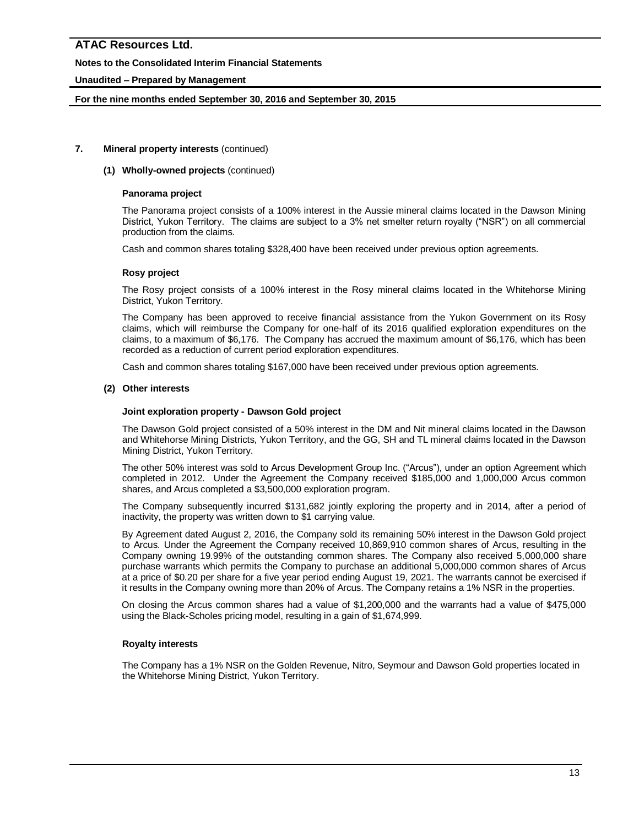# **Notes to the Consolidated Interim Financial Statements**

# **Unaudited – Prepared by Management**

# **For the nine months ended September 30, 2016 and September 30, 2015**

# **7. Mineral property interests** (continued)

### **(1) Wholly-owned projects** (continued)

### **Panorama project**

The Panorama project consists of a 100% interest in the Aussie mineral claims located in the Dawson Mining District, Yukon Territory. The claims are subject to a 3% net smelter return royalty ("NSR") on all commercial production from the claims.

Cash and common shares totaling \$328,400 have been received under previous option agreements.

# **Rosy project**

The Rosy project consists of a 100% interest in the Rosy mineral claims located in the Whitehorse Mining District, Yukon Territory.

The Company has been approved to receive financial assistance from the Yukon Government on its Rosy claims, which will reimburse the Company for one-half of its 2016 qualified exploration expenditures on the claims, to a maximum of \$6,176. The Company has accrued the maximum amount of \$6,176, which has been recorded as a reduction of current period exploration expenditures.

Cash and common shares totaling \$167,000 have been received under previous option agreements.

# **(2) Other interests**

### **Joint exploration property - Dawson Gold project**

The Dawson Gold project consisted of a 50% interest in the DM and Nit mineral claims located in the Dawson and Whitehorse Mining Districts, Yukon Territory, and the GG, SH and TL mineral claims located in the Dawson Mining District, Yukon Territory.

The other 50% interest was sold to Arcus Development Group Inc. ("Arcus"), under an option Agreement which completed in 2012. Under the Agreement the Company received \$185,000 and 1,000,000 Arcus common shares, and Arcus completed a \$3,500,000 exploration program.

The Company subsequently incurred \$131,682 jointly exploring the property and in 2014, after a period of inactivity, the property was written down to \$1 carrying value.

By Agreement dated August 2, 2016, the Company sold its remaining 50% interest in the Dawson Gold project to Arcus. Under the Agreement the Company received 10,869,910 common shares of Arcus, resulting in the Company owning 19.99% of the outstanding common shares. The Company also received 5,000,000 share purchase warrants which permits the Company to purchase an additional 5,000,000 common shares of Arcus at a price of \$0.20 per share for a five year period ending August 19, 2021. The warrants cannot be exercised if it results in the Company owning more than 20% of Arcus. The Company retains a 1% NSR in the properties.

On closing the Arcus common shares had a value of \$1,200,000 and the warrants had a value of \$475,000 using the Black-Scholes pricing model, resulting in a gain of \$1,674,999.

### **Royalty interests**

The Company has a 1% NSR on the Golden Revenue, Nitro, Seymour and Dawson Gold properties located in the Whitehorse Mining District, Yukon Territory.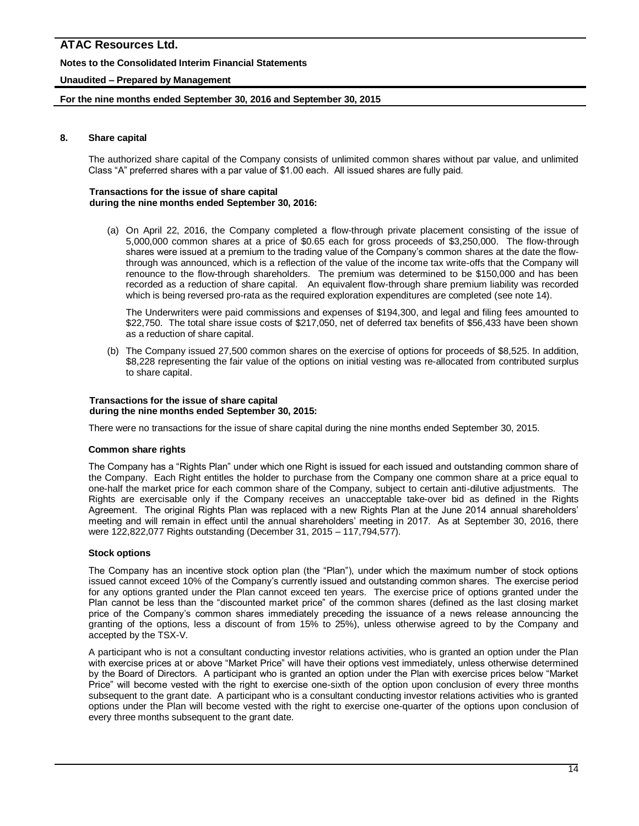# **Notes to the Consolidated Interim Financial Statements**

# **Unaudited – Prepared by Management**

## **For the nine months ended September 30, 2016 and September 30, 2015**

## **8. Share capital**

The authorized share capital of the Company consists of unlimited common shares without par value, and unlimited Class "A" preferred shares with a par value of \$1.00 each. All issued shares are fully paid.

#### **Transactions for the issue of share capital during the nine months ended September 30, 2016:**

(a) On April 22, 2016, the Company completed a flow-through private placement consisting of the issue of 5,000,000 common shares at a price of \$0.65 each for gross proceeds of \$3,250,000. The flow-through shares were issued at a premium to the trading value of the Company's common shares at the date the flowthrough was announced, which is a reflection of the value of the income tax write-offs that the Company will renounce to the flow-through shareholders. The premium was determined to be \$150,000 and has been recorded as a reduction of share capital. An equivalent flow-through share premium liability was recorded which is being reversed pro-rata as the required exploration expenditures are completed (see note 14).

The Underwriters were paid commissions and expenses of \$194,300, and legal and filing fees amounted to \$22,750. The total share issue costs of \$217,050, net of deferred tax benefits of \$56,433 have been shown as a reduction of share capital.

(b) The Company issued 27,500 common shares on the exercise of options for proceeds of \$8,525. In addition, \$8,228 representing the fair value of the options on initial vesting was re-allocated from contributed surplus to share capital.

#### **Transactions for the issue of share capital during the nine months ended September 30, 2015:**

There were no transactions for the issue of share capital during the nine months ended September 30, 2015.

### **Common share rights**

The Company has a "Rights Plan" under which one Right is issued for each issued and outstanding common share of the Company. Each Right entitles the holder to purchase from the Company one common share at a price equal to one-half the market price for each common share of the Company, subject to certain anti-dilutive adjustments. The Rights are exercisable only if the Company receives an unacceptable take-over bid as defined in the Rights Agreement. The original Rights Plan was replaced with a new Rights Plan at the June 2014 annual shareholders' meeting and will remain in effect until the annual shareholders' meeting in 2017. As at September 30, 2016, there were 122,822,077 Rights outstanding (December 31, 2015 – 117,794,577).

### **Stock options**

The Company has an incentive stock option plan (the "Plan"), under which the maximum number of stock options issued cannot exceed 10% of the Company's currently issued and outstanding common shares. The exercise period for any options granted under the Plan cannot exceed ten years. The exercise price of options granted under the Plan cannot be less than the "discounted market price" of the common shares (defined as the last closing market price of the Company's common shares immediately preceding the issuance of a news release announcing the granting of the options, less a discount of from 15% to 25%), unless otherwise agreed to by the Company and accepted by the TSX-V.

A participant who is not a consultant conducting investor relations activities, who is granted an option under the Plan with exercise prices at or above "Market Price" will have their options vest immediately, unless otherwise determined by the Board of Directors. A participant who is granted an option under the Plan with exercise prices below "Market Price" will become vested with the right to exercise one-sixth of the option upon conclusion of every three months subsequent to the grant date. A participant who is a consultant conducting investor relations activities who is granted options under the Plan will become vested with the right to exercise one-quarter of the options upon conclusion of every three months subsequent to the grant date.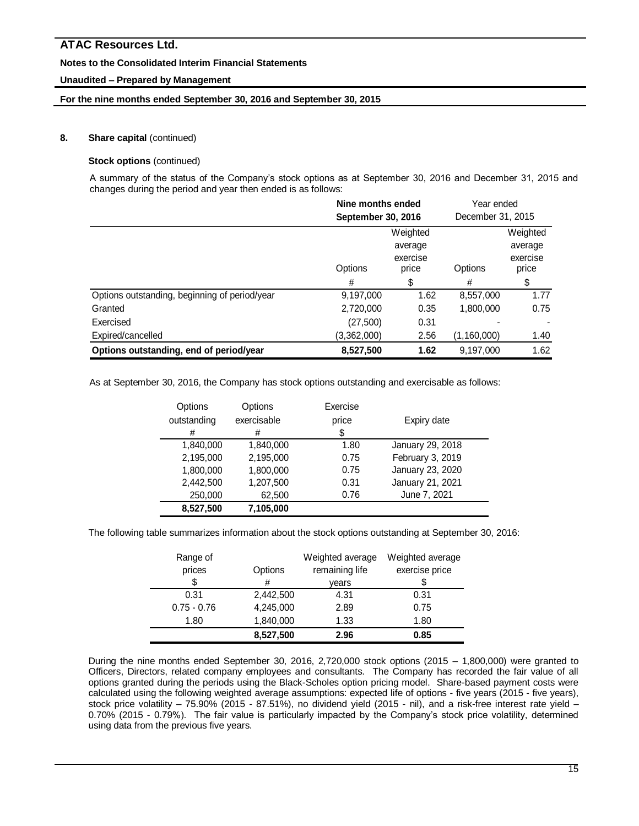# **Notes to the Consolidated Interim Financial Statements**

# **Unaudited – Prepared by Management**

# **For the nine months ended September 30, 2016 and September 30, 2015**

# **8. Share capital** (continued)

# **Stock options** (continued)

A summary of the status of the Company's stock options as at September 30, 2016 and December 31, 2015 and changes during the period and year then ended is as follows:

|                                               | Nine months ended<br>September 30, 2016             |      | Year ended<br>December 31, 2015 |                                          |
|-----------------------------------------------|-----------------------------------------------------|------|---------------------------------|------------------------------------------|
|                                               | Weighted<br>average<br>exercise<br>Options<br>price |      | Options                         | Weighted<br>average<br>exercise<br>price |
|                                               | #                                                   | \$   | #                               | \$                                       |
| Options outstanding, beginning of period/year | 9,197,000                                           | 1.62 | 8,557,000                       | 1.77                                     |
| Granted                                       | 2,720,000                                           | 0.35 | 1,800,000                       | 0.75                                     |
| Exercised                                     | (27, 500)                                           | 0.31 |                                 |                                          |
| Expired/cancelled                             | (3,362,000)                                         | 2.56 | (1,160,000)                     | 1.40                                     |
| Options outstanding, end of period/year       | 8,527,500                                           | 1.62 | 9,197,000                       | 1.62                                     |

As at September 30, 2016, the Company has stock options outstanding and exercisable as follows:

| Options     | Options     | Exercise |                  |
|-------------|-------------|----------|------------------|
| outstanding | exercisable | price    | Expiry date      |
| #           | #           | \$       |                  |
| 1,840,000   | 1,840,000   | 1.80     | January 29, 2018 |
| 2,195,000   | 2,195,000   | 0.75     | February 3, 2019 |
| 1,800,000   | 1,800,000   | 0.75     | January 23, 2020 |
| 2,442,500   | 1,207,500   | 0.31     | January 21, 2021 |
| 250,000     | 62,500      | 0.76     | June 7, 2021     |
| 8,527,500   | 7,105,000   |          |                  |

The following table summarizes information about the stock options outstanding at September 30, 2016:

| Range of      |           | Weighted average | Weighted average |
|---------------|-----------|------------------|------------------|
| prices        | Options   | remaining life   | exercise price   |
| \$            | #         | vears            | \$               |
| 0.31          | 2,442,500 | 4.31             | 0.31             |
| $0.75 - 0.76$ | 4,245,000 | 2.89             | 0.75             |
| 1.80          | 1,840,000 | 1.33             | 1.80             |
|               | 8,527,500 | 2.96             | 0.85             |

During the nine months ended September 30, 2016, 2,720,000 stock options (2015 – 1,800,000) were granted to Officers, Directors, related company employees and consultants. The Company has recorded the fair value of all options granted during the periods using the Black-Scholes option pricing model. Share-based payment costs were calculated using the following weighted average assumptions: expected life of options - five years (2015 - five years), stock price volatility – 75.90% (2015 - 87.51%), no dividend yield (2015 - nil), and a risk-free interest rate yield – 0.70% (2015 - 0.79%). The fair value is particularly impacted by the Company's stock price volatility, determined using data from the previous five years.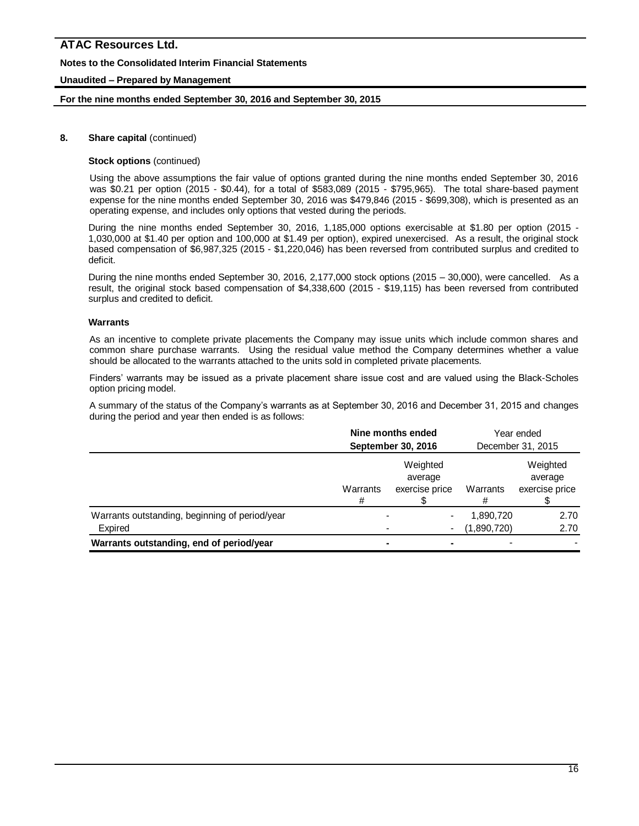# **Notes to the Consolidated Interim Financial Statements**

# **Unaudited – Prepared by Management**

### **For the nine months ended September 30, 2016 and September 30, 2015**

# **8. Share capital** (continued)

### **Stock options** (continued)

Using the above assumptions the fair value of options granted during the nine months ended September 30, 2016 was \$0.21 per option (2015 - \$0.44), for a total of \$583,089 (2015 - \$795,965). The total share-based payment expense for the nine months ended September 30, 2016 was \$479,846 (2015 - \$699,308), which is presented as an operating expense, and includes only options that vested during the periods.

During the nine months ended September 30, 2016, 1,185,000 options exercisable at \$1.80 per option (2015 - 1,030,000 at \$1.40 per option and 100,000 at \$1.49 per option), expired unexercised. As a result, the original stock based compensation of \$6,987,325 (2015 - \$1,220,046) has been reversed from contributed surplus and credited to deficit.

During the nine months ended September 30, 2016, 2,177,000 stock options (2015 – 30,000), were cancelled. As a result, the original stock based compensation of \$4,338,600 (2015 - \$19,115) has been reversed from contributed surplus and credited to deficit.

#### **Warrants**

As an incentive to complete private placements the Company may issue units which include common shares and common share purchase warrants. Using the residual value method the Company determines whether a value should be allocated to the warrants attached to the units sold in completed private placements.

Finders' warrants may be issued as a private placement share issue cost and are valued using the Black-Scholes option pricing model.

A summary of the status of the Company's warrants as at September 30, 2016 and December 31, 2015 and changes during the period and year then ended is as follows:

|                                                           | Nine months ended<br>September 30, 2016 |                                       | Year ended<br>December 31, 2015 |                                       |
|-----------------------------------------------------------|-----------------------------------------|---------------------------------------|---------------------------------|---------------------------------------|
|                                                           | Warrants<br>#                           | Weighted<br>average<br>exercise price | Warrants                        | Weighted<br>average<br>exercise price |
| Warrants outstanding, beginning of period/year<br>Expired |                                         | $\blacksquare$<br>$\blacksquare$      | 1,890,720<br>(1,890,720)        | 2.70<br>2.70                          |
| Warrants outstanding, end of period/year                  |                                         |                                       |                                 |                                       |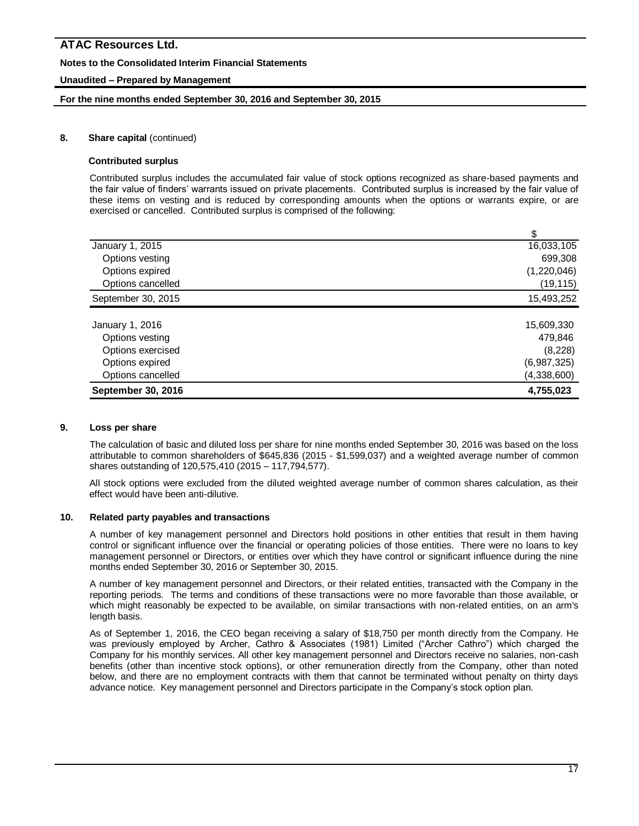# **Notes to the Consolidated Interim Financial Statements**

# **Unaudited – Prepared by Management**

## **For the nine months ended September 30, 2016 and September 30, 2015**

## **8. Share capital** (continued)

#### **Contributed surplus**

Contributed surplus includes the accumulated fair value of stock options recognized as share-based payments and the fair value of finders' warrants issued on private placements. Contributed surplus is increased by the fair value of these items on vesting and is reduced by corresponding amounts when the options or warrants expire, or are exercised or cancelled. Contributed surplus is comprised of the following:

| January 1, 2015    | 16,033,105  |
|--------------------|-------------|
| Options vesting    | 699,308     |
| Options expired    | (1,220,046) |
| Options cancelled  | (19, 115)   |
| September 30, 2015 | 15,493,252  |
|                    |             |
| January 1, 2016    | 15,609,330  |
| Options vesting    | 479,846     |
| Options exercised  | (8,228)     |
| Options expired    | (6,987,325) |
| Options cancelled  | (4,338,600) |
| September 30, 2016 | 4,755,023   |

### **9. Loss per share**

The calculation of basic and diluted loss per share for nine months ended September 30, 2016 was based on the loss attributable to common shareholders of \$645,836 (2015 - \$1,599,037) and a weighted average number of common shares outstanding of 120,575,410 (2015 – 117,794,577).

All stock options were excluded from the diluted weighted average number of common shares calculation, as their effect would have been anti-dilutive.

### **10. Related party payables and transactions**

A number of key management personnel and Directors hold positions in other entities that result in them having control or significant influence over the financial or operating policies of those entities. There were no loans to key management personnel or Directors, or entities over which they have control or significant influence during the nine months ended September 30, 2016 or September 30, 2015.

A number of key management personnel and Directors, or their related entities, transacted with the Company in the reporting periods. The terms and conditions of these transactions were no more favorable than those available, or which might reasonably be expected to be available, on similar transactions with non-related entities, on an arm's length basis.

As of September 1, 2016, the CEO began receiving a salary of \$18,750 per month directly from the Company. He was previously employed by Archer, Cathro & Associates (1981) Limited ("Archer Cathro") which charged the Company for his monthly services. All other key management personnel and Directors receive no salaries, non-cash benefits (other than incentive stock options), or other remuneration directly from the Company, other than noted below, and there are no employment contracts with them that cannot be terminated without penalty on thirty days advance notice. Key management personnel and Directors participate in the Company's stock option plan.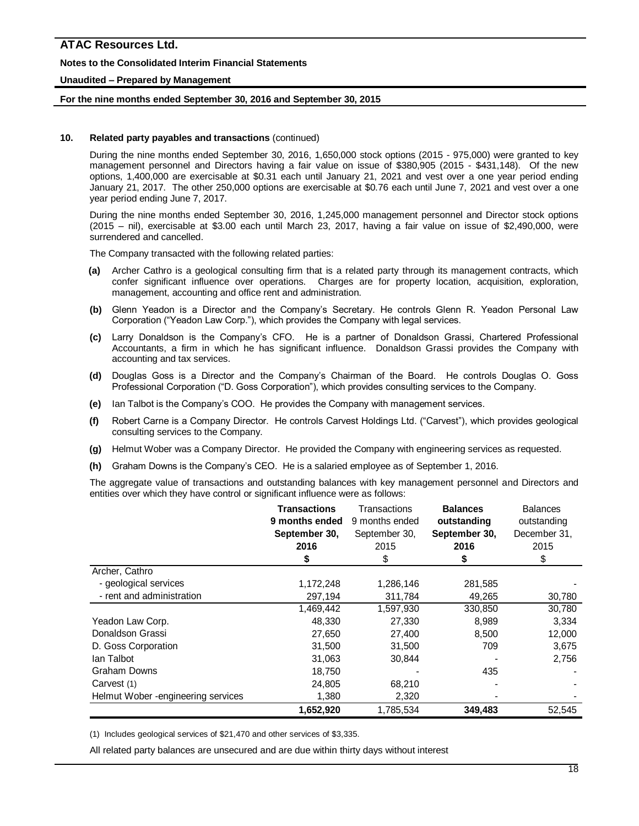### **Notes to the Consolidated Interim Financial Statements**

#### **Unaudited – Prepared by Management**

#### **For the nine months ended September 30, 2016 and September 30, 2015**

#### **10. Related party payables and transactions** (continued)

During the nine months ended September 30, 2016, 1,650,000 stock options (2015 - 975,000) were granted to key management personnel and Directors having a fair value on issue of \$380,905 (2015 - \$431,148). Of the new options, 1,400,000 are exercisable at \$0.31 each until January 21, 2021 and vest over a one year period ending January 21, 2017. The other 250,000 options are exercisable at \$0.76 each until June 7, 2021 and vest over a one year period ending June 7, 2017.

During the nine months ended September 30, 2016, 1,245,000 management personnel and Director stock options (2015 – nil), exercisable at \$3.00 each until March 23, 2017, having a fair value on issue of \$2,490,000, were surrendered and cancelled.

The Company transacted with the following related parties:

- **(a)** Archer Cathro is a geological consulting firm that is a related party through its management contracts, which confer significant influence over operations. Charges are for property location, acquisition, exploration, management, accounting and office rent and administration.
- **(b)** Glenn Yeadon is a Director and the Company's Secretary. He controls Glenn R. Yeadon Personal Law Corporation ("Yeadon Law Corp."), which provides the Company with legal services.
- **(c)** Larry Donaldson is the Company's CFO. He is a partner of Donaldson Grassi, Chartered Professional Accountants, a firm in which he has significant influence. Donaldson Grassi provides the Company with accounting and tax services.
- **(d)** Douglas Goss is a Director and the Company's Chairman of the Board. He controls Douglas O. Goss Professional Corporation ("D. Goss Corporation"), which provides consulting services to the Company.
- **(e)** Ian Talbot is the Company's COO. He provides the Company with management services.
- **(f)** Robert Carne is a Company Director. He controls Carvest Holdings Ltd. ("Carvest"), which provides geological consulting services to the Company.
- **(g)** Helmut Wober was a Company Director. He provided the Company with engineering services as requested.
- **(h)** Graham Downs is the Company's CEO. He is a salaried employee as of September 1, 2016.

The aggregate value of transactions and outstanding balances with key management personnel and Directors and entities over which they have control or significant influence were as follows:

|                                     | Transactions   | Transactions   | <b>Balances</b> | <b>Balances</b> |
|-------------------------------------|----------------|----------------|-----------------|-----------------|
|                                     | 9 months ended | 9 months ended | outstanding     | outstanding     |
|                                     | September 30,  | September 30,  | September 30,   | December 31,    |
|                                     | 2016           | 2015           | 2016            | 2015            |
|                                     | \$             | \$             |                 | \$              |
| Archer, Cathro                      |                |                |                 |                 |
| - geological services               | 1,172,248      | 1,286,146      | 281,585         |                 |
| - rent and administration           | 297,194        | 311,784        | 49,265          | 30,780          |
|                                     | 1,469,442      | 1,597,930      | 330,850         | 30,780          |
| Yeadon Law Corp.                    | 48,330         | 27,330         | 8,989           | 3,334           |
| Donaldson Grassi                    | 27,650         | 27,400         | 8,500           | 12,000          |
| D. Goss Corporation                 | 31,500         | 31,500         | 709             | 3,675           |
| lan Talbot                          | 31,063         | 30,844         |                 | 2,756           |
| <b>Graham Downs</b>                 | 18,750         |                | 435             |                 |
| Carvest (1)                         | 24,805         | 68,210         |                 |                 |
| Helmut Wober - engineering services | 1,380          | 2,320          |                 |                 |
|                                     | 1,652,920      | 1,785,534      | 349,483         | 52,545          |

(1) Includes geological services of \$21,470 and other services of \$3,335.

All related party balances are unsecured and are due within thirty days without interest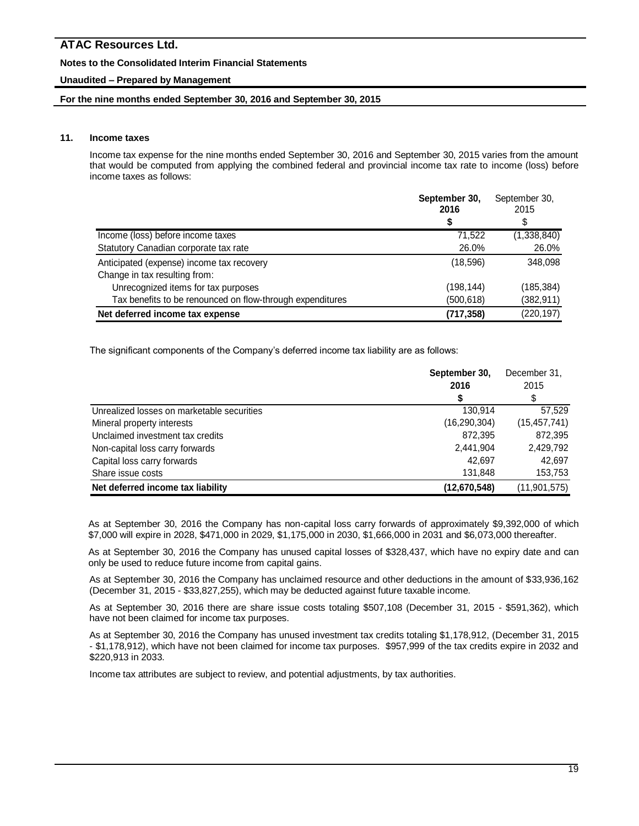# **Notes to the Consolidated Interim Financial Statements**

# **Unaudited – Prepared by Management**

### **For the nine months ended September 30, 2016 and September 30, 2015**

# **11. Income taxes**

Income tax expense for the nine months ended September 30, 2016 and September 30, 2015 varies from the amount that would be computed from applying the combined federal and provincial income tax rate to income (loss) before income taxes as follows:

|                                                           | September 30,<br>2016 | September 30,<br>2015 |
|-----------------------------------------------------------|-----------------------|-----------------------|
|                                                           |                       | \$                    |
| Income (loss) before income taxes                         | 71.522                | (1,338,840)           |
| Statutory Canadian corporate tax rate                     | 26.0%                 | 26.0%                 |
| Anticipated (expense) income tax recovery                 | (18,596)              | 348.098               |
| Change in tax resulting from:                             |                       |                       |
| Unrecognized items for tax purposes                       | (198, 144)            | (185, 384)            |
| Tax benefits to be renounced on flow-through expenditures | (500,618)             | (382, 911)            |
| Net deferred income tax expense                           | (717, 358)            | (220, 197)            |

The significant components of the Company's deferred income tax liability are as follows:

|                                            | September 30,  | December 31.   |
|--------------------------------------------|----------------|----------------|
|                                            | 2016           | 2015           |
|                                            |                |                |
| Unrealized losses on marketable securities | 130,914        | 57,529         |
| Mineral property interests                 | (16, 290, 304) | (15, 457, 741) |
| Unclaimed investment tax credits           | 872,395        | 872,395        |
| Non-capital loss carry forwards            | 2,441,904      | 2,429,792      |
| Capital loss carry forwards                | 42.697         | 42.697         |
| Share issue costs                          | 131,848        | 153,753        |
| Net deferred income tax liability          | (12,670,548)   | (11, 901, 575) |

As at September 30, 2016 the Company has non-capital loss carry forwards of approximately \$9,392,000 of which \$7,000 will expire in 2028, \$471,000 in 2029, \$1,175,000 in 2030, \$1,666,000 in 2031 and \$6,073,000 thereafter.

As at September 30, 2016 the Company has unused capital losses of \$328,437, which have no expiry date and can only be used to reduce future income from capital gains.

As at September 30, 2016 the Company has unclaimed resource and other deductions in the amount of \$33,936,162 (December 31, 2015 - \$33,827,255), which may be deducted against future taxable income.

As at September 30, 2016 there are share issue costs totaling \$507,108 (December 31, 2015 - \$591,362), which have not been claimed for income tax purposes.

As at September 30, 2016 the Company has unused investment tax credits totaling \$1,178,912, (December 31, 2015 - \$1,178,912), which have not been claimed for income tax purposes. \$957,999 of the tax credits expire in 2032 and \$220,913 in 2033.

Income tax attributes are subject to review, and potential adjustments, by tax authorities.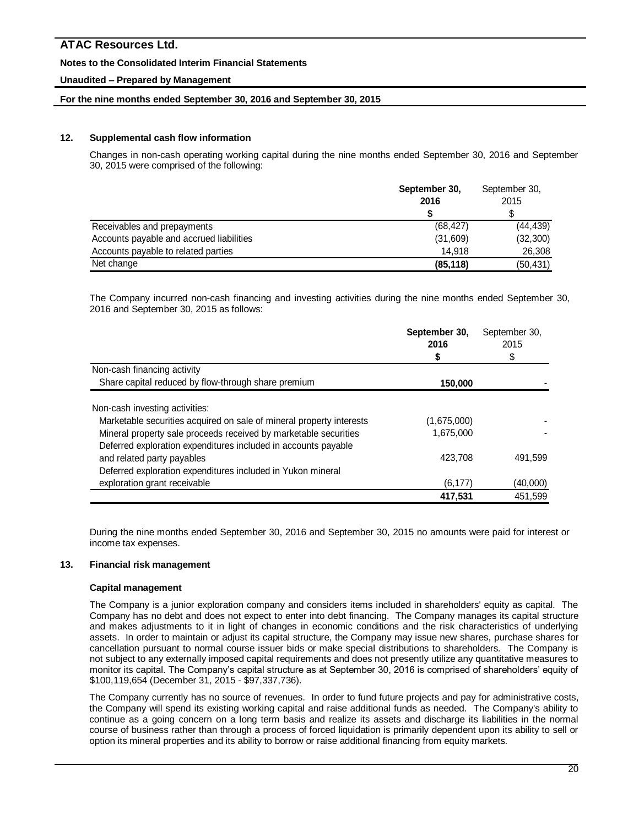# **Notes to the Consolidated Interim Financial Statements**

# **Unaudited – Prepared by Management**

# **For the nine months ended September 30, 2016 and September 30, 2015**

# **12. Supplemental cash flow information**

Changes in non-cash operating working capital during the nine months ended September 30, 2016 and September 30, 2015 were comprised of the following:

|                                          | September 30,<br>2016 | September 30,<br>2015 |
|------------------------------------------|-----------------------|-----------------------|
|                                          |                       |                       |
| Receivables and prepayments              | (68, 427)             | (44, 439)             |
| Accounts payable and accrued liabilities | (31,609)              | (32, 300)             |
| Accounts payable to related parties      | 14.918                | 26,308                |
| Net change                               | (85, 118)             | (50, 431)             |

The Company incurred non-cash financing and investing activities during the nine months ended September 30, 2016 and September 30, 2015 as follows:

|                                                                      | September 30,<br>2016 | September 30,<br>2015 |  |
|----------------------------------------------------------------------|-----------------------|-----------------------|--|
|                                                                      | \$                    | \$                    |  |
| Non-cash financing activity                                          |                       |                       |  |
| Share capital reduced by flow-through share premium                  | 150,000               |                       |  |
| Non-cash investing activities:                                       |                       |                       |  |
| Marketable securities acquired on sale of mineral property interests | (1,675,000)           |                       |  |
| Mineral property sale proceeds received by marketable securities     | 1,675,000             |                       |  |
| Deferred exploration expenditures included in accounts payable       |                       |                       |  |
| and related party payables                                           | 423.708               | 491,599               |  |
| Deferred exploration expenditures included in Yukon mineral          |                       |                       |  |
| exploration grant receivable                                         | (6,177)               | (40,000)              |  |
|                                                                      | 417,531               | 451,599               |  |

During the nine months ended September 30, 2016 and September 30, 2015 no amounts were paid for interest or income tax expenses.

### **13. Financial risk management**

### **Capital management**

The Company is a junior exploration company and considers items included in shareholders' equity as capital. The Company has no debt and does not expect to enter into debt financing. The Company manages its capital structure and makes adjustments to it in light of changes in economic conditions and the risk characteristics of underlying assets. In order to maintain or adjust its capital structure, the Company may issue new shares, purchase shares for cancellation pursuant to normal course issuer bids or make special distributions to shareholders. The Company is not subject to any externally imposed capital requirements and does not presently utilize any quantitative measures to monitor its capital. The Company's capital structure as at September 30, 2016 is comprised of shareholders' equity of \$100,119,654 (December 31, 2015 - \$97,337,736).

The Company currently has no source of revenues. In order to fund future projects and pay for administrative costs, the Company will spend its existing working capital and raise additional funds as needed. The Company's ability to continue as a going concern on a long term basis and realize its assets and discharge its liabilities in the normal course of business rather than through a process of forced liquidation is primarily dependent upon its ability to sell or option its mineral properties and its ability to borrow or raise additional financing from equity markets.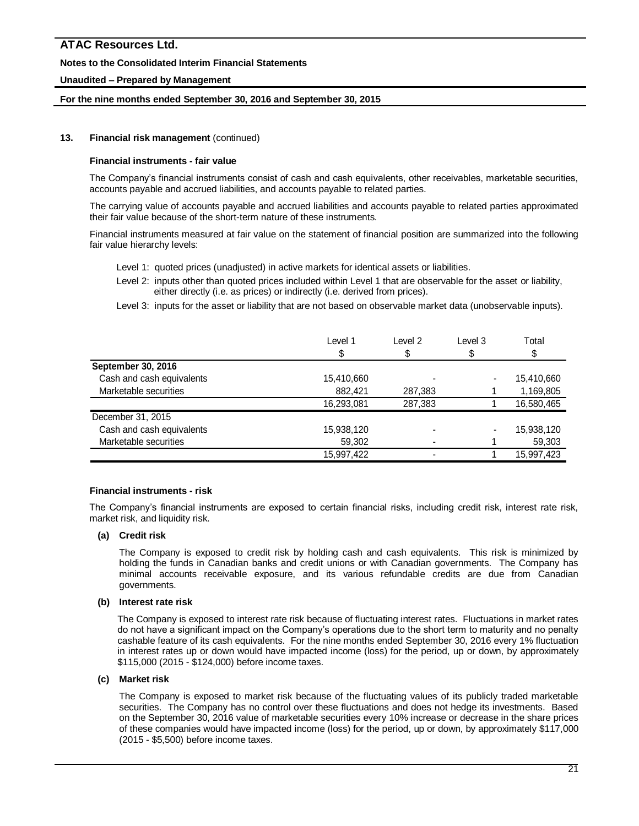# **Notes to the Consolidated Interim Financial Statements**

# **Unaudited – Prepared by Management**

## **For the nine months ended September 30, 2016 and September 30, 2015**

# **13. Financial risk management** (continued)

### **Financial instruments - fair value**

The Company's financial instruments consist of cash and cash equivalents, other receivables, marketable securities, accounts payable and accrued liabilities, and accounts payable to related parties.

The carrying value of accounts payable and accrued liabilities and accounts payable to related parties approximated their fair value because of the short-term nature of these instruments.

Financial instruments measured at fair value on the statement of financial position are summarized into the following fair value hierarchy levels:

- Level 1: quoted prices (unadjusted) in active markets for identical assets or liabilities.
- Level 2: inputs other than quoted prices included within Level 1 that are observable for the asset or liability, either directly (i.e. as prices) or indirectly (i.e. derived from prices).
- Level 3: inputs for the asset or liability that are not based on observable market data (unobservable inputs).

|                           | Level 1    | Level 2 | Level 3 | Total      |
|---------------------------|------------|---------|---------|------------|
| September 30, 2016        |            |         |         |            |
| Cash and cash equivalents | 15,410,660 |         |         | 15,410,660 |
| Marketable securities     | 882,421    | 287,383 |         | 1,169,805  |
|                           | 16,293,081 | 287,383 |         | 16,580,465 |
| December 31, 2015         |            |         |         |            |
| Cash and cash equivalents | 15,938,120 |         |         | 15,938,120 |
| Marketable securities     | 59,302     |         |         | 59,303     |
|                           | 15,997,422 |         |         | 15,997,423 |

### **Financial instruments - risk**

The Company's financial instruments are exposed to certain financial risks, including credit risk, interest rate risk, market risk, and liquidity risk.

# **(a) Credit risk**

The Company is exposed to credit risk by holding cash and cash equivalents. This risk is minimized by holding the funds in Canadian banks and credit unions or with Canadian governments. The Company has minimal accounts receivable exposure, and its various refundable credits are due from Canadian governments.

#### **(b) Interest rate risk**

The Company is exposed to interest rate risk because of fluctuating interest rates. Fluctuations in market rates do not have a significant impact on the Company's operations due to the short term to maturity and no penalty cashable feature of its cash equivalents. For the nine months ended September 30, 2016 every 1% fluctuation in interest rates up or down would have impacted income (loss) for the period, up or down, by approximately \$115,000 (2015 - \$124,000) before income taxes.

#### **(c) Market risk**

The Company is exposed to market risk because of the fluctuating values of its publicly traded marketable securities. The Company has no control over these fluctuations and does not hedge its investments. Based on the September 30, 2016 value of marketable securities every 10% increase or decrease in the share prices of these companies would have impacted income (loss) for the period, up or down, by approximately \$117,000 (2015 - \$5,500) before income taxes.